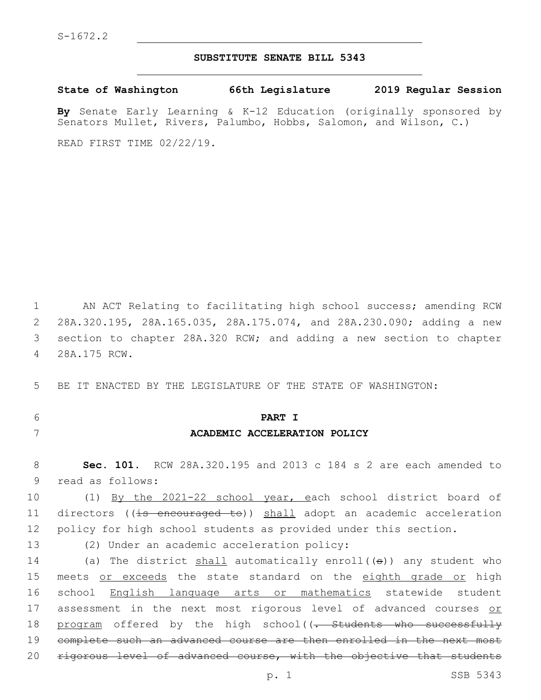### **SUBSTITUTE SENATE BILL 5343**

**State of Washington 66th Legislature 2019 Regular Session**

**By** Senate Early Learning & K-12 Education (originally sponsored by Senators Mullet, Rivers, Palumbo, Hobbs, Salomon, and Wilson, C.)

READ FIRST TIME 02/22/19.

 AN ACT Relating to facilitating high school success; amending RCW 28A.320.195, 28A.165.035, 28A.175.074, and 28A.230.090; adding a new section to chapter 28A.320 RCW; and adding a new section to chapter 28A.175 RCW.4

5 BE IT ENACTED BY THE LEGISLATURE OF THE STATE OF WASHINGTON:

# 6 **PART I** 7 **ACADEMIC ACCELERATION POLICY**

8 **Sec. 101.** RCW 28A.320.195 and 2013 c 184 s 2 are each amended to

9 read as follows:

10 (1) By the 2021-22 school year, each school district board of 11 directors ((is encouraged to)) shall adopt an academic acceleration 12 policy for high school students as provided under this section.

13 (2) Under an academic acceleration policy:

14 (a) The district shall automatically enroll((s)) any student who 15 meets or exceeds the state standard on the eighth grade or high 16 school English language arts or mathematics statewide student 17 assessment in the next most rigorous level of advanced courses or 18 program offered by the high school((- Students who successfully 19 complete such an advanced course are then enrolled in the next most 20 rigorous level of advanced course, with the objective that students

p. 1 SSB 5343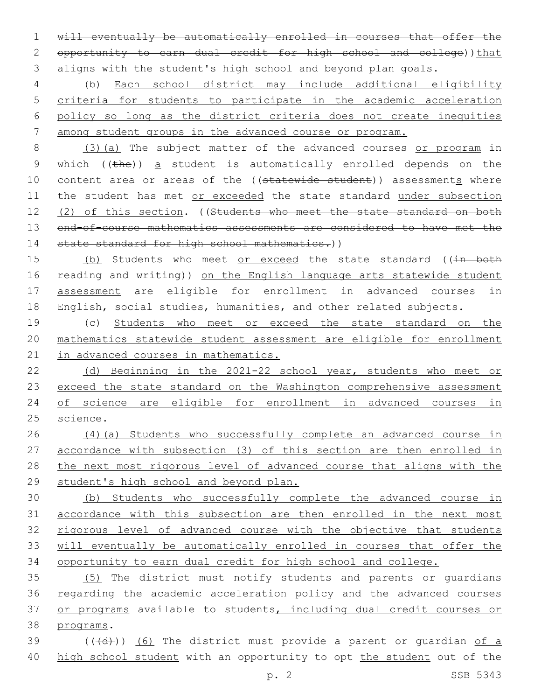1 will eventually be automatically enrolled in courses that offer the 2 opportunity to earn dual credit for high school and college)) that 3 aligns with the student's high school and beyond plan goals.

 (b) Each school district may include additional eligibility criteria for students to participate in the academic acceleration policy so long as the district criteria does not create inequities among student groups in the advanced course or program.

8 (3)(a) The subject matter of the advanced courses or program in 9 which  $(\theta)$  a student is automatically enrolled depends on the 10 content area or areas of the ((statewide student)) assessments where 11 the student has met or exceeded the state standard under subsection 12 (2) of this section. ((Students who meet the state standard on both 13 end-of-course mathematics assessments are considered to have met the 14 state standard for high school mathematics.))

15 (b) Students who meet or exceed the state standard ((in both 16 reading and writing)) on the English language arts statewide student 17 assessment are eligible for enrollment in advanced courses in 18 English, social studies, humanities, and other related subjects.

19 (c) Students who meet or exceed the state standard on the 20 mathematics statewide student assessment are eligible for enrollment 21 in advanced courses in mathematics.

22 (d) Beginning in the 2021-22 school year, students who meet or 23 exceed the state standard on the Washington comprehensive assessment 24 of science are eligible for enrollment in advanced courses in 25 science.

 (4)(a) Students who successfully complete an advanced course in accordance with subsection (3) of this section are then enrolled in the next most rigorous level of advanced course that aligns with the student's high school and beyond plan.

 (b) Students who successfully complete the advanced course in accordance with this subsection are then enrolled in the next most 32 rigorous level of advanced course with the objective that students will eventually be automatically enrolled in courses that offer the opportunity to earn dual credit for high school and college.

35 (5) The district must notify students and parents or guardians 36 regarding the academic acceleration policy and the advanced courses 37 or programs available to students, including dual credit courses or 38 programs.

39  $((+d))$   $(6)$  The district must provide a parent or quardian of a 40 high school student with an opportunity to opt the student out of the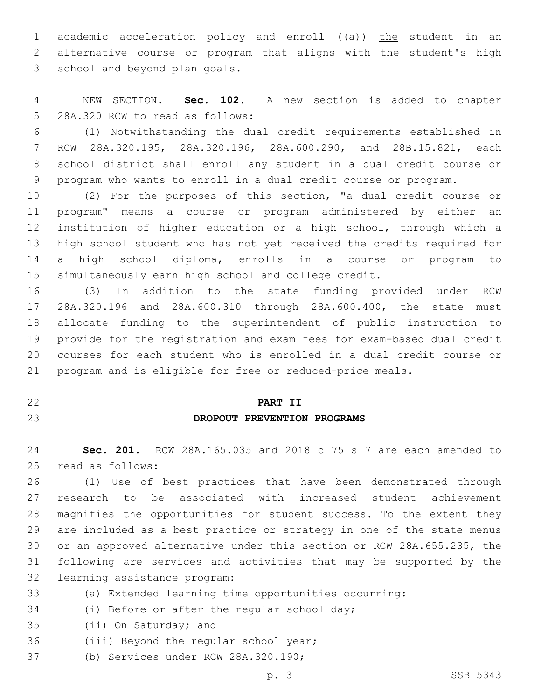1 academic acceleration policy and enroll ((a)) the student in an alternative course or program that aligns with the student's high 3 school and beyond plan goals.

 NEW SECTION. **Sec. 102.** A new section is added to chapter 5 28A.320 RCW to read as follows:

 (1) Notwithstanding the dual credit requirements established in RCW 28A.320.195, 28A.320.196, 28A.600.290, and 28B.15.821, each school district shall enroll any student in a dual credit course or program who wants to enroll in a dual credit course or program.

 (2) For the purposes of this section, "a dual credit course or program" means a course or program administered by either an institution of higher education or a high school, through which a high school student who has not yet received the credits required for a high school diploma, enrolls in a course or program to simultaneously earn high school and college credit.

 (3) In addition to the state funding provided under RCW 28A.320.196 and 28A.600.310 through 28A.600.400, the state must allocate funding to the superintendent of public instruction to provide for the registration and exam fees for exam-based dual credit courses for each student who is enrolled in a dual credit course or program and is eligible for free or reduced-price meals.

#### **PART II**

## **DROPOUT PREVENTION PROGRAMS**

 **Sec. 201.** RCW 28A.165.035 and 2018 c 75 s 7 are each amended to 25 read as follows:

 (1) Use of best practices that have been demonstrated through research to be associated with increased student achievement magnifies the opportunities for student success. To the extent they are included as a best practice or strategy in one of the state menus or an approved alternative under this section or RCW 28A.655.235, the following are services and activities that may be supported by the 32 learning assistance program:

(a) Extended learning time opportunities occurring:

34 (i) Before or after the regular school day;

35 (ii) On Saturday; and

- 36 (iii) Beyond the regular school year;
- 37 (b) Services under RCW 28A.320.190;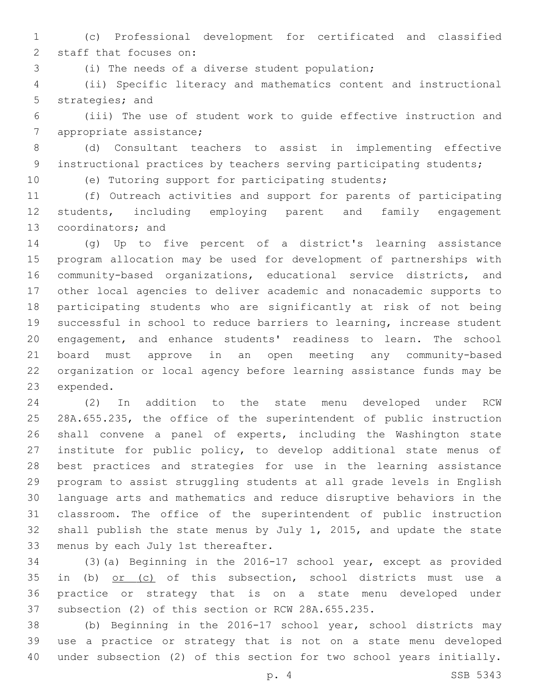(c) Professional development for certificated and classified 2 staff that focuses on:

(i) The needs of a diverse student population;3

 (ii) Specific literacy and mathematics content and instructional 5 strategies; and

 (iii) The use of student work to guide effective instruction and 7 appropriate assistance;

 (d) Consultant teachers to assist in implementing effective 9 instructional practices by teachers serving participating students;

(e) Tutoring support for participating students;

 (f) Outreach activities and support for parents of participating students, including employing parent and family engagement 13 coordinators; and

 (g) Up to five percent of a district's learning assistance program allocation may be used for development of partnerships with community-based organizations, educational service districts, and other local agencies to deliver academic and nonacademic supports to participating students who are significantly at risk of not being successful in school to reduce barriers to learning, increase student engagement, and enhance students' readiness to learn. The school board must approve in an open meeting any community-based organization or local agency before learning assistance funds may be 23 expended.

 (2) In addition to the state menu developed under RCW 28A.655.235, the office of the superintendent of public instruction shall convene a panel of experts, including the Washington state institute for public policy, to develop additional state menus of best practices and strategies for use in the learning assistance program to assist struggling students at all grade levels in English language arts and mathematics and reduce disruptive behaviors in the classroom. The office of the superintendent of public instruction shall publish the state menus by July 1, 2015, and update the state 33 menus by each July 1st thereafter.

 (3)(a) Beginning in the 2016-17 school year, except as provided 35 in (b) or (c) of this subsection, school districts must use a practice or strategy that is on a state menu developed under subsection (2) of this section or RCW 28A.655.235.

 (b) Beginning in the 2016-17 school year, school districts may use a practice or strategy that is not on a state menu developed under subsection (2) of this section for two school years initially.

p. 4 SSB 5343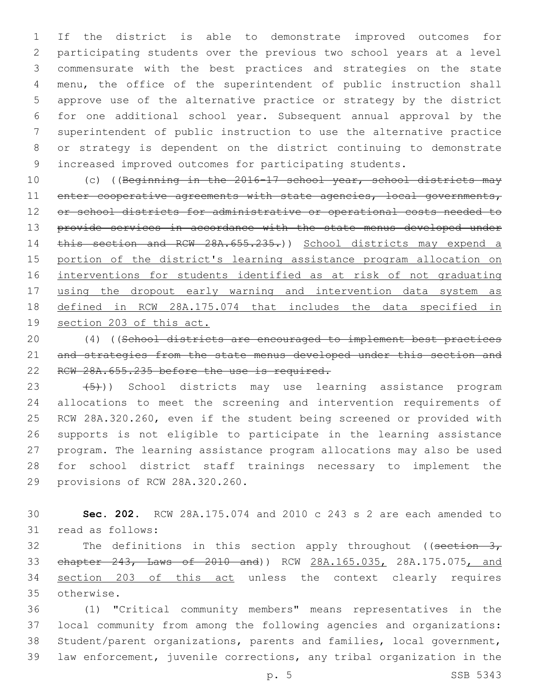If the district is able to demonstrate improved outcomes for participating students over the previous two school years at a level commensurate with the best practices and strategies on the state menu, the office of the superintendent of public instruction shall approve use of the alternative practice or strategy by the district for one additional school year. Subsequent annual approval by the superintendent of public instruction to use the alternative practice or strategy is dependent on the district continuing to demonstrate increased improved outcomes for participating students.

10 (c) ((Beginning in the 2016-17 school year, school districts may 11 enter cooperative agreements with state agencies, local governments, or school districts for administrative or operational costs needed to 13 provide services in accordance with the state menus developed under 14 this section and RCW 28A.655.235.)) School districts may expend a portion of the district's learning assistance program allocation on interventions for students identified as at risk of not graduating using the dropout early warning and intervention data system as defined in RCW 28A.175.074 that includes the data specified in section 203 of this act.

 (4) ((School districts are encouraged to implement best practices 21 and strategies from the state menus developed under this section and RCW 28A.655.235 before the use is required.

 $(5)$ )) School districts may use learning assistance program allocations to meet the screening and intervention requirements of RCW 28A.320.260, even if the student being screened or provided with supports is not eligible to participate in the learning assistance program. The learning assistance program allocations may also be used for school district staff trainings necessary to implement the 29 provisions of RCW 28A.320.260.

 **Sec. 202.** RCW 28A.175.074 and 2010 c 243 s 2 are each amended to 31 read as follows:

32 The definitions in this section apply throughout ((section  $3<sub>r</sub>$ ) chapter 243, Laws of 2010 and)) RCW 28A.165.035, 28A.175.075, and 34 section 203 of this act unless the context clearly requires otherwise.35

 (1) "Critical community members" means representatives in the local community from among the following agencies and organizations: Student/parent organizations, parents and families, local government, law enforcement, juvenile corrections, any tribal organization in the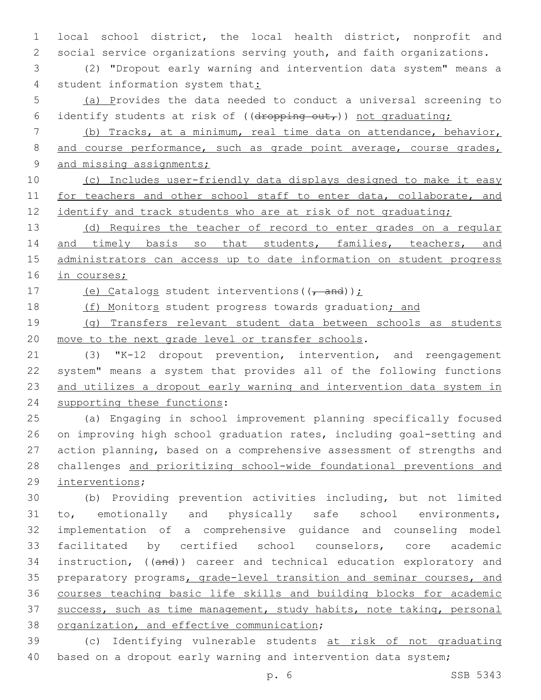1 local school district, the local health district, nonprofit and 2 social service organizations serving youth, and faith organizations.

3 (2) "Dropout early warning and intervention data system" means a 4 student information system that:

5 (a) Provides the data needed to conduct a universal screening to 6 identify students at risk of ((dropping out,)) not graduating;

7 (b) Tracks, at a minimum, real time data on attendance, behavior, 8 and course performance, such as grade point average, course grades, 9 and missing assignments;

10 (c) Includes user-friendly data displays designed to make it easy 11 for teachers and other school staff to enter data, collaborate, and 12 identify and track students who are at risk of not graduating;

13 (d) Requires the teacher of record to enter grades on a regular 14 and timely basis so that students, families, teachers, and 15 administrators can access up to date information on student progress 16 in courses;

17 (e) Catalogs student interventions  $((\tau$  and));

18 (f) Monitors student progress towards graduation; and

19 (g) Transfers relevant student data between schools as students 20 move to the next grade level or transfer schools.

21 (3) "K-12 dropout prevention, intervention, and reengagement 22 system" means a system that provides all of the following functions 23 and utilizes a dropout early warning and intervention data system in 24 supporting these functions:

 (a) Engaging in school improvement planning specifically focused on improving high school graduation rates, including goal-setting and action planning, based on a comprehensive assessment of strengths and challenges and prioritizing school-wide foundational preventions and 29 interventions;

 (b) Providing prevention activities including, but not limited to, emotionally and physically safe school environments, implementation of a comprehensive guidance and counseling model facilitated by certified school counselors, core academic 34 instruction, ((and)) career and technical education exploratory and preparatory programs, grade-level transition and seminar courses, and courses teaching basic life skills and building blocks for academic success, such as time management, study habits, note taking, personal 38 organization, and effective communication;

39 (c) Identifying vulnerable students at risk of not graduating 40 based on a dropout early warning and intervention data system;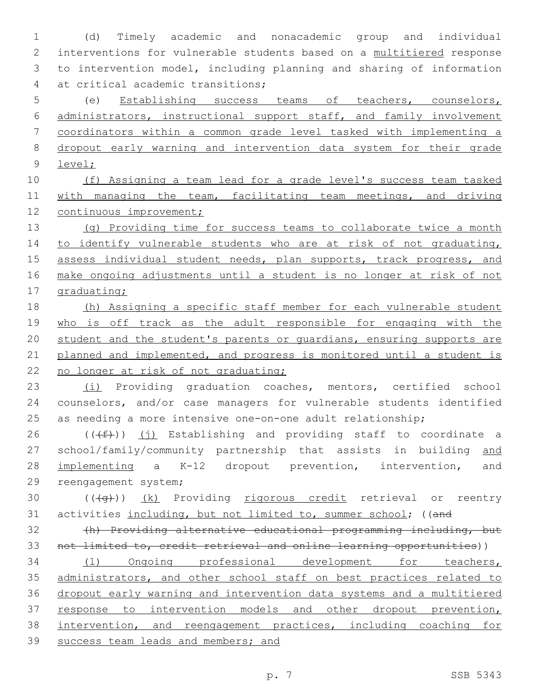(d) Timely academic and nonacademic group and individual interventions for vulnerable students based on a multitiered response to intervention model, including planning and sharing of information 4 at critical academic transitions;

 (e) Establishing success teams of teachers, counselors, administrators, instructional support staff, and family involvement coordinators within a common grade level tasked with implementing a dropout early warning and intervention data system for their grade level;

 (f) Assigning a team lead for a grade level's success team tasked 11 with managing the team, facilitating team meetings, and driving continuous improvement;

13 (g) Providing time for success teams to collaborate twice a month 14 to identify vulnerable students who are at risk of not graduating, 15 assess individual student needs, plan supports, track progress, and make ongoing adjustments until a student is no longer at risk of not graduating;

 (h) Assigning a specific staff member for each vulnerable student 19 who is off track as the adult responsible for engaging with the student and the student's parents or guardians, ensuring supports are 21 planned and implemented, and progress is monitored until a student is 22 no longer at risk of not graduating;

 (i) Providing graduation coaches, mentors, certified school counselors, and/or case managers for vulnerable students identified as needing a more intensive one-on-one adult relationship;

 $((\text{#}))$  (j) Establishing and providing staff to coordinate a school/family/community partnership that assists in building and implementing a K-12 dropout prevention, intervention, and 29 reengagement system;

30  $((+q))$   $(k)$  Providing rigorous credit retrieval or reentry 31 activities including, but not limited to, summer school; ((and

 (h) Providing alternative educational programming including, but not limited to, credit retrieval and online learning opportunities))

 (l) Ongoing professional development for teachers, 35 administrators, and other school staff on best practices related to dropout early warning and intervention data systems and a multitiered response to intervention models and other dropout prevention, intervention, and reengagement practices, including coaching for success team leads and members; and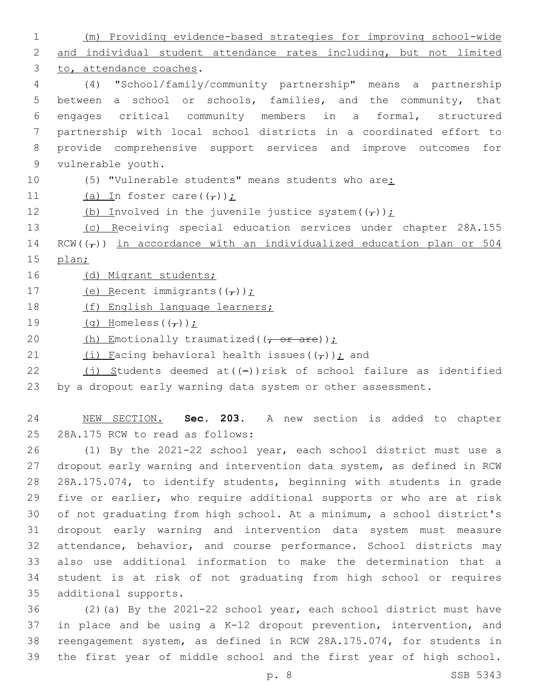1 (m) Providing evidence-based strategies for improving school-wide 2 and individual student attendance rates including, but not limited 3 to, attendance coaches. 4 (4) "School/family/community partnership" means a partnership 5 between a school or schools, families, and the community, that 6 engages critical community members in a formal, structured 7 partnership with local school districts in a coordinated effort to 8 provide comprehensive support services and improve outcomes for 9 vulnerable youth. 10 (5) "Vulnerable students" means students who are: 11 (a) In foster care( $(\tau)$ ); 12 (b) Involved in the juvenile justice system $((\tau))$ ; 13 (c) Receiving special education services under chapter 28A.155 14 RCW( $(\tau)$ ) in accordance with an individualized education plan or 504 15 plan; 16 (d) Migrant students; 17 (e) Recent immigrants( $(\tau)$ ); 18 (f) English language learners; 19  $(q)$  Homeless( $(\tau)$ ); 20  $(h)$  Emotionally traumatized( $(\overline{f} - \overline{f} + \overline{f} + \overline{f})$ ); 21 (i) Facing behavioral health issues( $(\tau)$ ); and 22  $(j)$  Students deemed at((-))risk of school failure as identified 23 by a dropout early warning data system or other assessment. 24 NEW SECTION. **Sec. 203.** A new section is added to chapter 25 28A.175 RCW to read as follows: 26 (1) By the 2021-22 school year, each school district must use a 27 dropout early warning and intervention data system, as defined in RCW 28 28A.175.074, to identify students, beginning with students in grade 29 five or earlier, who require additional supports or who are at risk 30 of not graduating from high school. At a minimum, a school district's 31 dropout early warning and intervention data system must measure 32 attendance, behavior, and course performance. School districts may 33 also use additional information to make the determination that a 34 student is at risk of not graduating from high school or requires

 (2)(a) By the 2021-22 school year, each school district must have in place and be using a K-12 dropout prevention, intervention, and reengagement system, as defined in RCW 28A.175.074, for students in the first year of middle school and the first year of high school.

35 additional supports.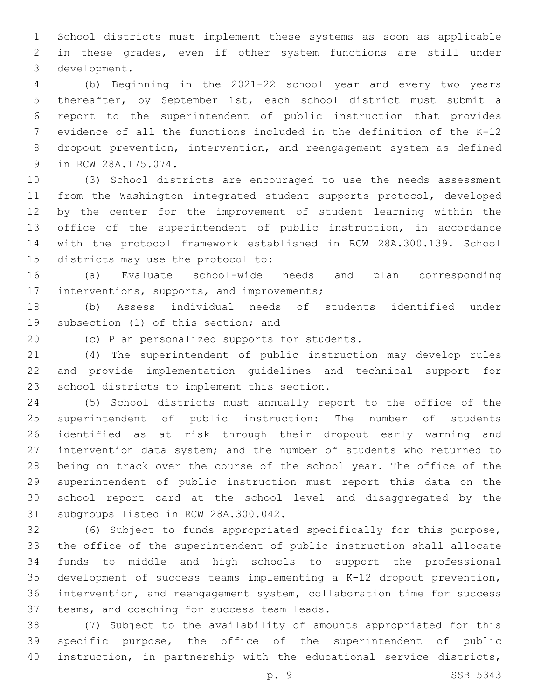School districts must implement these systems as soon as applicable in these grades, even if other system functions are still under 3 development.

 (b) Beginning in the 2021-22 school year and every two years thereafter, by September 1st, each school district must submit a report to the superintendent of public instruction that provides evidence of all the functions included in the definition of the K-12 dropout prevention, intervention, and reengagement system as defined 9 in RCW 28A.175.074.

 (3) School districts are encouraged to use the needs assessment from the Washington integrated student supports protocol, developed by the center for the improvement of student learning within the office of the superintendent of public instruction, in accordance with the protocol framework established in RCW 28A.300.139. School 15 districts may use the protocol to:

 (a) Evaluate school-wide needs and plan corresponding 17 interventions, supports, and improvements;

 (b) Assess individual needs of students identified under 19 subsection (1) of this section; and

(c) Plan personalized supports for students.20

 (4) The superintendent of public instruction may develop rules and provide implementation guidelines and technical support for 23 school districts to implement this section.

 (5) School districts must annually report to the office of the superintendent of public instruction: The number of students identified as at risk through their dropout early warning and intervention data system; and the number of students who returned to being on track over the course of the school year. The office of the superintendent of public instruction must report this data on the school report card at the school level and disaggregated by the 31 subgroups listed in RCW 28A.300.042.

 (6) Subject to funds appropriated specifically for this purpose, the office of the superintendent of public instruction shall allocate funds to middle and high schools to support the professional development of success teams implementing a K-12 dropout prevention, intervention, and reengagement system, collaboration time for success 37 teams, and coaching for success team leads.

 (7) Subject to the availability of amounts appropriated for this specific purpose, the office of the superintendent of public instruction, in partnership with the educational service districts,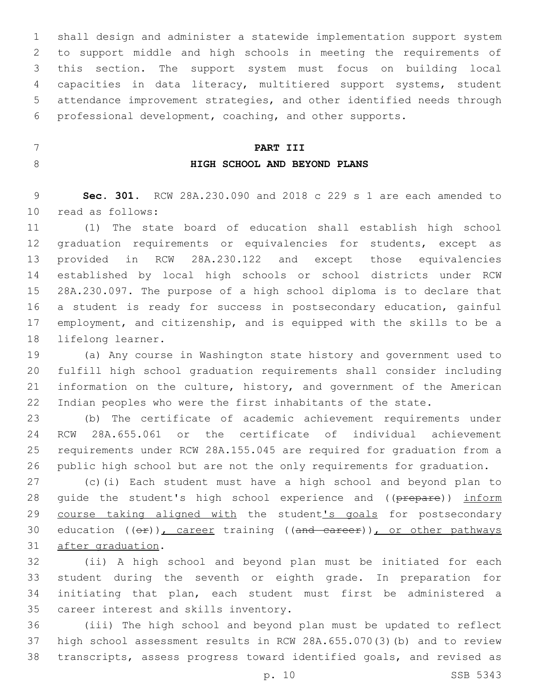shall design and administer a statewide implementation support system to support middle and high schools in meeting the requirements of this section. The support system must focus on building local capacities in data literacy, multitiered support systems, student attendance improvement strategies, and other identified needs through professional development, coaching, and other supports.

## **PART III**

## **HIGH SCHOOL AND BEYOND PLANS**

 **Sec. 301.** RCW 28A.230.090 and 2018 c 229 s 1 are each amended to 10 read as follows:

 (1) The state board of education shall establish high school 12 graduation requirements or equivalencies for students, except as provided in RCW 28A.230.122 and except those equivalencies established by local high schools or school districts under RCW 28A.230.097. The purpose of a high school diploma is to declare that 16 a student is ready for success in postsecondary education, gainful employment, and citizenship, and is equipped with the skills to be a 18 lifelong learner.

 (a) Any course in Washington state history and government used to fulfill high school graduation requirements shall consider including information on the culture, history, and government of the American Indian peoples who were the first inhabitants of the state.

 (b) The certificate of academic achievement requirements under RCW 28A.655.061 or the certificate of individual achievement requirements under RCW 28A.155.045 are required for graduation from a public high school but are not the only requirements for graduation.

 (c)(i) Each student must have a high school and beyond plan to 28 quide the student's high school experience and ((prepare)) inform 29 course taking aligned with the student's goals for postsecondary 30 education  $((\theta \cdot \hat{r}))$ , career training  $((\theta \cdot \hat{r}))$ , or other pathways 31 after graduation.

 (ii) A high school and beyond plan must be initiated for each student during the seventh or eighth grade. In preparation for initiating that plan, each student must first be administered a 35 career interest and skills inventory.

 (iii) The high school and beyond plan must be updated to reflect high school assessment results in RCW 28A.655.070(3)(b) and to review transcripts, assess progress toward identified goals, and revised as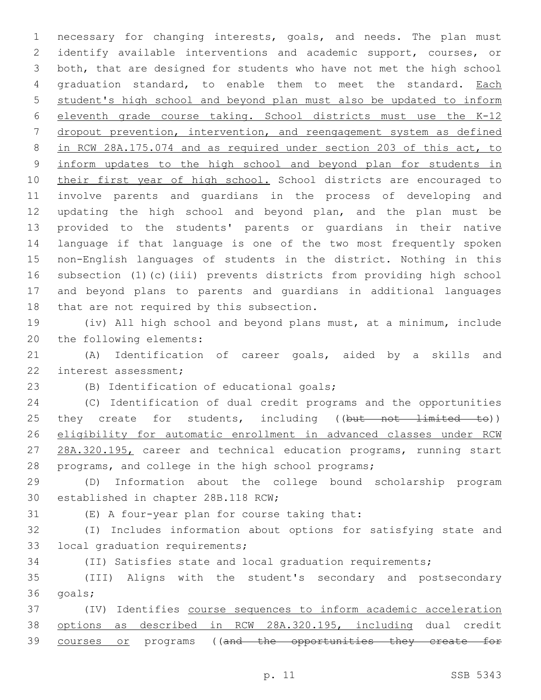necessary for changing interests, goals, and needs. The plan must 2 identify available interventions and academic support, courses, or both, that are designed for students who have not met the high school 4 graduation standard, to enable them to meet the standard. Each student's high school and beyond plan must also be updated to inform eleventh grade course taking. School districts must use the K-12 dropout prevention, intervention, and reengagement system as defined in RCW 28A.175.074 and as required under section 203 of this act, to inform updates to the high school and beyond plan for students in 10 their first year of high school. School districts are encouraged to involve parents and guardians in the process of developing and updating the high school and beyond plan, and the plan must be provided to the students' parents or guardians in their native language if that language is one of the two most frequently spoken non-English languages of students in the district. Nothing in this subsection (1)(c)(iii) prevents districts from providing high school and beyond plans to parents and guardians in additional languages 18 that are not required by this subsection.

 (iv) All high school and beyond plans must, at a minimum, include 20 the following elements:

 (A) Identification of career goals, aided by a skills and 22 interest assessment;

(B) Identification of educational goals;

 (C) Identification of dual credit programs and the opportunities 25 they create for students, including ((but not limited to)) eligibility for automatic enrollment in advanced classes under RCW 27 28A.320.195, career and technical education programs, running start programs, and college in the high school programs;

 (D) Information about the college bound scholarship program 30 established in chapter 28B.118 RCW;

(E) A four-year plan for course taking that:31

 (I) Includes information about options for satisfying state and 33 local graduation requirements;

(II) Satisfies state and local graduation requirements;

 (III) Aligns with the student's secondary and postsecondary 36 goals;

 (IV) Identifies course sequences to inform academic acceleration options as described in RCW 28A.320.195, including dual credit 39 courses or programs ((and the opportunities they create for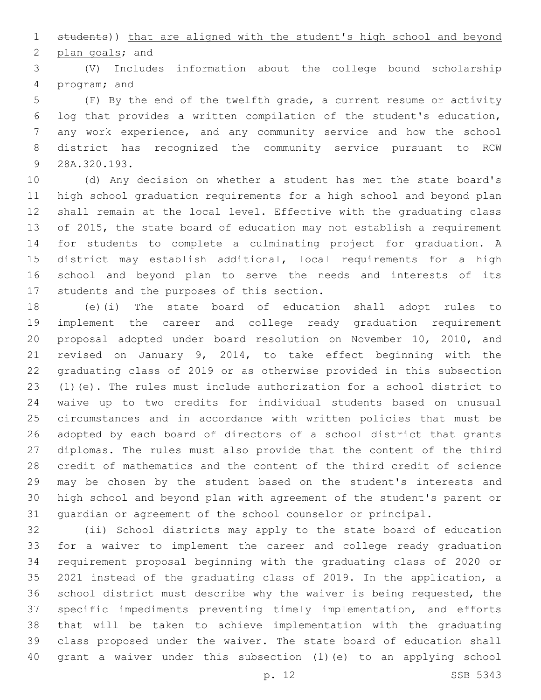students)) that are aligned with the student's high school and beyond 2 plan goals; and

 (V) Includes information about the college bound scholarship 4 program; and

 (F) By the end of the twelfth grade, a current resume or activity log that provides a written compilation of the student's education, any work experience, and any community service and how the school district has recognized the community service pursuant to RCW 9 28A.320.193.

 (d) Any decision on whether a student has met the state board's high school graduation requirements for a high school and beyond plan shall remain at the local level. Effective with the graduating class of 2015, the state board of education may not establish a requirement for students to complete a culminating project for graduation. A district may establish additional, local requirements for a high school and beyond plan to serve the needs and interests of its 17 students and the purposes of this section.

 (e)(i) The state board of education shall adopt rules to implement the career and college ready graduation requirement proposal adopted under board resolution on November 10, 2010, and revised on January 9, 2014, to take effect beginning with the graduating class of 2019 or as otherwise provided in this subsection (1)(e). The rules must include authorization for a school district to waive up to two credits for individual students based on unusual circumstances and in accordance with written policies that must be adopted by each board of directors of a school district that grants diplomas. The rules must also provide that the content of the third credit of mathematics and the content of the third credit of science may be chosen by the student based on the student's interests and high school and beyond plan with agreement of the student's parent or guardian or agreement of the school counselor or principal.

 (ii) School districts may apply to the state board of education for a waiver to implement the career and college ready graduation requirement proposal beginning with the graduating class of 2020 or 2021 instead of the graduating class of 2019. In the application, a school district must describe why the waiver is being requested, the specific impediments preventing timely implementation, and efforts that will be taken to achieve implementation with the graduating class proposed under the waiver. The state board of education shall grant a waiver under this subsection (1)(e) to an applying school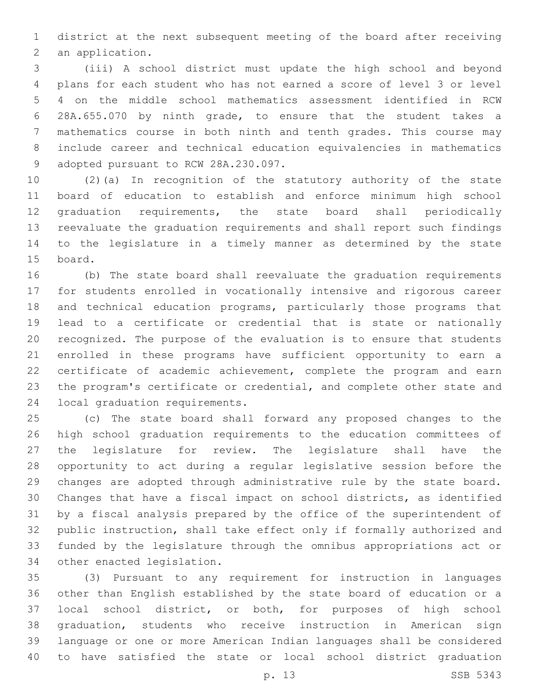district at the next subsequent meeting of the board after receiving 2 an application.

 (iii) A school district must update the high school and beyond plans for each student who has not earned a score of level 3 or level 4 on the middle school mathematics assessment identified in RCW 28A.655.070 by ninth grade, to ensure that the student takes a mathematics course in both ninth and tenth grades. This course may include career and technical education equivalencies in mathematics 9 adopted pursuant to RCW 28A.230.097.

 (2)(a) In recognition of the statutory authority of the state board of education to establish and enforce minimum high school graduation requirements, the state board shall periodically reevaluate the graduation requirements and shall report such findings to the legislature in a timely manner as determined by the state 15 board.

 (b) The state board shall reevaluate the graduation requirements for students enrolled in vocationally intensive and rigorous career and technical education programs, particularly those programs that lead to a certificate or credential that is state or nationally recognized. The purpose of the evaluation is to ensure that students enrolled in these programs have sufficient opportunity to earn a certificate of academic achievement, complete the program and earn the program's certificate or credential, and complete other state and 24 local graduation requirements.

 (c) The state board shall forward any proposed changes to the high school graduation requirements to the education committees of the legislature for review. The legislature shall have the opportunity to act during a regular legislative session before the changes are adopted through administrative rule by the state board. Changes that have a fiscal impact on school districts, as identified by a fiscal analysis prepared by the office of the superintendent of public instruction, shall take effect only if formally authorized and funded by the legislature through the omnibus appropriations act or 34 other enacted legislation.

 (3) Pursuant to any requirement for instruction in languages other than English established by the state board of education or a local school district, or both, for purposes of high school graduation, students who receive instruction in American sign language or one or more American Indian languages shall be considered to have satisfied the state or local school district graduation

p. 13 SSB 5343